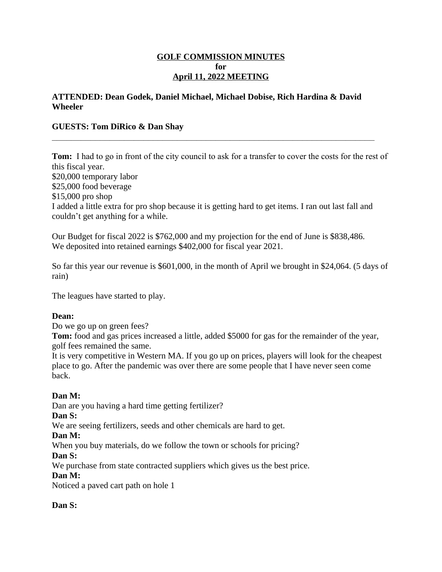#### **GOLF COMMISSION MINUTES for April 11, 2022 MEETING**

#### **ATTENDED: Dean Godek, Daniel Michael, Michael Dobise, Rich Hardina & David Wheeler**

**\_\_\_\_\_\_\_\_\_\_\_\_\_\_\_\_\_\_\_\_\_\_\_\_\_\_\_\_\_\_\_\_\_\_\_\_\_\_\_\_\_\_\_\_\_\_\_\_\_\_\_\_\_\_\_\_\_\_\_\_\_\_\_\_\_\_\_**

### **GUESTS: Tom DiRico & Dan Shay**

**Tom:** I had to go in front of the city council to ask for a transfer to cover the costs for the rest of this fiscal year. \$20,000 temporary labor \$25,000 food beverage \$15,000 pro shop I added a little extra for pro shop because it is getting hard to get items. I ran out last fall and couldn't get anything for a while.

Our Budget for fiscal 2022 is \$762,000 and my projection for the end of June is \$838,486. We deposited into retained earnings \$402,000 for fiscal year 2021.

So far this year our revenue is \$601,000, in the month of April we brought in \$24,064. (5 days of rain)

The leagues have started to play.

#### **Dean:**

Do we go up on green fees?

**Tom:** food and gas prices increased a little, added \$5000 for gas for the remainder of the year, golf fees remained the same.

It is very competitive in Western MA. If you go up on prices, players will look for the cheapest place to go. After the pandemic was over there are some people that I have never seen come back.

### **Dan M:**

Dan are you having a hard time getting fertilizer?

### **Dan S:**

We are seeing fertilizers, seeds and other chemicals are hard to get.

### **Dan M:**

When you buy materials, do we follow the town or schools for pricing?

### **Dan S:**

We purchase from state contracted suppliers which gives us the best price.

### **Dan M:**

Noticed a paved cart path on hole 1

### **Dan S:**